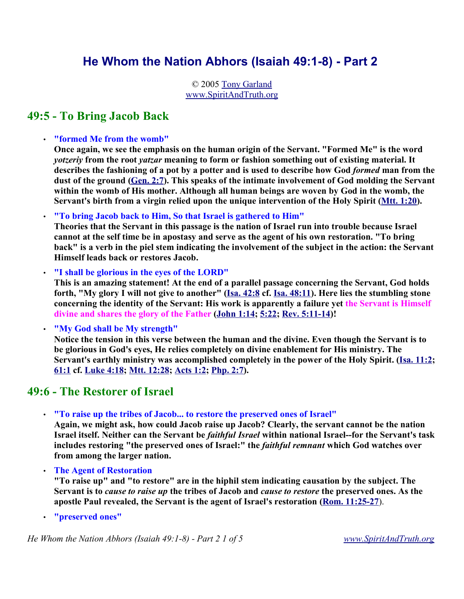# **He Whom the Nation Abhors (Isaiah 49:1-8) - Part 2**

© 2005 Tony Garland www.SpiritAndTruth.org

# **49:5 - To Bring Jacob Back**

• **"formed Me from the womb"**

**Once again, we see the emphasis on the human origin of the Servant. "Formed Me" is the word** *yotzeriy* **from the root** *yatzar* **meaning to form or fashion something out of existing material. It describes the fashioning of a pot by a potter and is used to describe how God** *formed* **man from the dust of the ground (Gen. 2:7). This speaks of the intimate involvement of God molding the Servant within the womb of His mother. Although all human beings are woven by God in the womb, the Servant's birth from a virgin relied upon the unique intervention of the Holy Spirit (Mtt. 1:20).** 

• **"To bring Jacob back to Him, So that Israel is gathered to Him"** 

**Theories that the Servant in this passage is the nation of Israel run into trouble because Israel cannot at the self time be in apostasy and serve as the agent of his own restoration. "To bring back" is a verb in the piel stem indicating the involvement of the subject in the action: the Servant Himself leads back or restores Jacob.**

• **"I shall be glorious in the eyes of the LORD"**

**This is an amazing statement! At the end of a parallel passage concerning the Servant, God holds forth, "My glory I will not give to another" (Isa. 42:8 cf. Isa. 48:11). Here lies the stumbling stone concerning the identity of the Servant: His work is apparently a failure yet the Servant is Himself divine and shares the glory of the Father (John 1:14; 5:22; Rev. 5:11-14)!**

• **"My God shall be My strength"**

**Notice the tension in this verse between the human and the divine. Even though the Servant is to be glorious in God's eyes, He relies completely on divine enablement for His ministry. The Servant's earthly ministry was accomplished completely in the power of the Holy Spirit. (Isa. 11:2; 61:1 cf. Luke 4:18; Mtt. 12:28; Acts 1:2; Php. 2:7).** 

## **49:6 - The Restorer of Israel**

• **"To raise up the tribes of Jacob... to restore the preserved ones of Israel"**

**Again, we might ask, how could Jacob raise up Jacob? Clearly, the servant cannot be the nation Israel itself. Neither can the Servant be** *faithful Israel* **within national Israel--for the Servant's task includes restoring "the preserved ones of Israel:" the** *faithful remnant* **which God watches over from among the larger nation.**

• **The Agent of Restoration**

**"To raise up" and "to restore" are in the hiphil stem indicating causation by the subject. The Servant is to** *cause to raise up* **the tribes of Jacob and** *cause to restore* **the preserved ones. As the apostle Paul revealed, the Servant is the agent of Israel's restoration (Rom. 11:25-27**).

• **"preserved ones"**

*He Whom the Nation Abhors (Isaiah 49:1-8) - Part 2 1 of 5 www.SpiritAndTruth.org*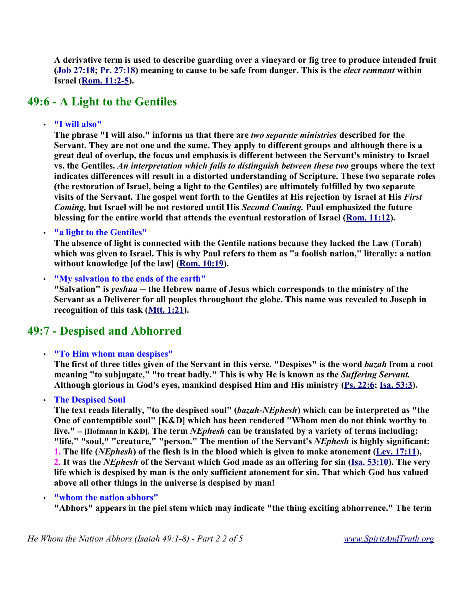**A derivative term is used to describe guarding over a vineyard or fig tree to produce intended fruit (Job 27:18; Pr. 27:18) meaning to cause to be safe from danger. This is the** *elect remnant* **within Israel (Rom. 11:2-5).** 

## **49:6 - A Light to the Gentiles**

### • **"I will also"**

**The phrase "I will also." informs us that there are** *two separate ministries* **described for the Servant. They are not one and the same. They apply to different groups and although there is a great deal of overlap, the focus and emphasis is different between the Servant's ministry to Israel vs. the Gentiles.** *An interpretation which fails to distinguish between these two* **groups where the text indicates differences will result in a distorted understanding of Scripture. These two separate roles (the restoration of Israel, being a light to the Gentiles) are ultimately fulfilled by two separate visits of the Servant. The gospel went forth to the Gentiles at His rejection by Israel at His** *First Coming,* **but Israel will be not restored until His** *Second Coming.* **Paul emphasized the future blessing for the entire world that attends the eventual restoration of Israel (Rom. 11:12).** 

### • **"a light to the Gentiles"**

**The absence of light is connected with the Gentile nations because they lacked the Law (Torah) which was given to Israel. This is why Paul refers to them as "a foolish nation," literally: a nation without knowledge [of the law] (Rom. 10:19).** 

• **"My salvation to the ends of the earth"**

**"Salvation" is** *yeshua* **-- the Hebrew name of Jesus which corresponds to the ministry of the Servant as a Deliverer for all peoples throughout the globe. This name was revealed to Joseph in recognition of this task (Mtt. 1:21).** 

## **49:7 - Despised and Abhorred**

### • **"To Him whom man despises"**

**The first of three titles given of the Servant in this verse. "Despises" is the word** *bazah* **from a root meaning "to subjugate," "to treat badly." This is why He is known as the** *Suffering Servant.* **Although glorious in God's eyes, mankind despised Him and His ministry (Ps. 22:6; Isa. 53:3).** 

### • **The Despised Soul**

**The text reads literally, "to the despised soul" (***bazah-NEphesh***) which can be interpreted as "the One of contemptible soul" [K&D] which has been rendered "Whom men do not think worthy to live." -- [Hofmann in K&D]. The term** *NEphesh* **can be translated by a variety of terms including: "life," "soul," "creature," "person." The mention of the Servant's** *NEphesh* **is highly significant: 1. The life (***NEphesh***) of the flesh is in the blood which is given to make atonement (Lev. 17:11), 2. It was the** *NEphesh* **of the Servant which God made as an offering for sin (Isa. 53:10). The very life which is despised by man is the only sufficient atonement for sin. That which God has valued above all other things in the universe is despised by man!** 

### • **"whom the nation abhors"**

**"Abhors" appears in the piel stem which may indicate "the thing exciting abhorrence." The term**

*He Whom the Nation Abhors (Isaiah 49:1-8) - Part 2 2 of 5 www.SpiritAndTruth.org*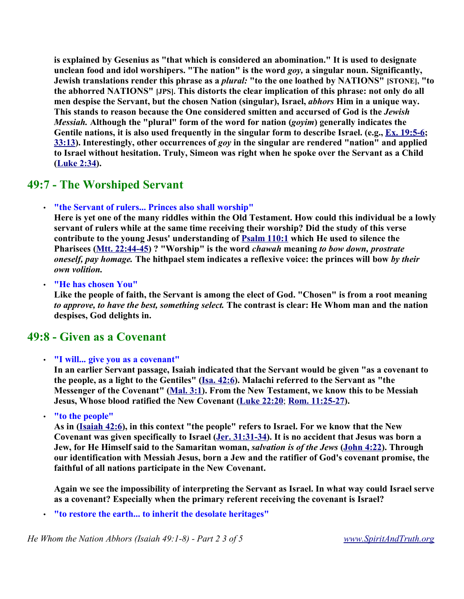**is explained by Gesenius as "that which is considered an abomination." It is used to designate unclean food and idol worshipers. "The nation" is the word** *goy,* **a singular noun. Significantly, Jewish translations render this phrase as a** *plural:* **"to the one loathed by NATIONS" [STONE], "to the abhorred NATIONS" [JPS]. This distorts the clear implication of this phrase: not only do all men despise the Servant, but the chosen Nation (singular), Israel,** *abhors* **Him in a unique way. This stands to reason because the One considered smitten and accursed of God is the** *Jewish Messiah.* **Although the "plural" form of the word for nation (***goyim***) generally indicates the Gentile nations, it is also used frequently in the singular form to describe Israel. (e.g., Ex. 19:5-6; 33:13). Interestingly, other occurrences of** *goy* **in the singular are rendered "nation" and applied to Israel without hesitation. Truly, Simeon was right when he spoke over the Servant as a Child (Luke 2:34).** 

## **49:7 - The Worshiped Servant**

### • **"the Servant of rulers... Princes also shall worship"**

**Here is yet one of the many riddles within the Old Testament. How could this individual be a lowly servant of rulers while at the same time receiving their worship? Did the study of this verse contribute to the young Jesus' understanding of Psalm 110:1 which He used to silence the Pharisees (Mtt. 22:44-45) ? "Worship" is the word** *chawah* **meaning** *to bow down, prostrate oneself, pay homage.* **The hithpael stem indicates a reflexive voice: the princes will bow** *by their own volition.*

• **"He has chosen You"**

**Like the people of faith, the Servant is among the elect of God. "Chosen" is from a root meaning** *to approve, to have the best, something select.* **The contrast is clear: He Whom man and the nation despises, God delights in.**

## **49:8 - Given as a Covenant**

### • **"I will... give you as a covenant"**

**In an earlier Servant passage, Isaiah indicated that the Servant would be given "as a covenant to the people, as a light to the Gentiles" (Isa. 42:6). Malachi referred to the Servant as "the Messenger of the Covenant" (Mal. 3:1). From the New Testament, we know this to be Messiah Jesus, Whose blood ratified the New Covenant (Luke 22:20**; **Rom. 11:25-27).**

• **"to the people"**

**As in (Isaiah 42:6), in this context "the people" refers to Israel. For we know that the New Covenant was given specifically to Israel (Jer. 31:31-34). It is no accident that Jesus was born a Jew, for He Himself said to the Samaritan woman,** *salvation is of the Jews* **(John 4:22). Through our identification with Messiah Jesus, born a Jew and the ratifier of God's covenant promise, the faithful of all nations participate in the New Covenant.**

**Again we see the impossibility of interpreting the Servant as Israel. In what way could Israel serve as a covenant? Especially when the primary referent receiving the covenant is Israel?** 

• **"to restore the earth... to inherit the desolate heritages"** 

*He Whom the Nation Abhors (Isaiah 49:1-8) - Part 2 3 of 5 www.SpiritAndTruth.org*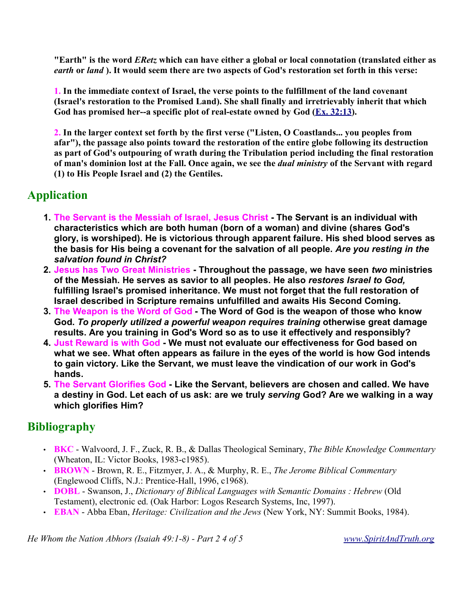**"Earth" is the word** *ERetz* **which can have either a global or local connotation (translated either as** *earth* **or** *land* **). It would seem there are two aspects of God's restoration set forth in this verse:**

**1. In the immediate context of Israel, the verse points to the fulfillment of the land covenant (Israel's restoration to the Promised Land). She shall finally and irretrievably inherit that which** God has promised her--a specific plot of real-estate owned by God (Ex. 32:13).

**2. In the larger context set forth by the first verse ("Listen, O Coastlands... you peoples from afar"), the passage also points toward the restoration of the entire globe following its destruction as part of God's outpouring of wrath during the Tribulation period including the final restoration of man's dominion lost at the Fall. Once again, we see the** *dual ministry* **of the Servant with regard (1) to His People Israel and (2) the Gentiles.** 

# **Application**

- **1. The Servant is the Messiah of Israel, Jesus Christ - The Servant is an individual with characteristics which are both human (born of a woman) and divine (shares God's glory, is worshiped). He is victorious through apparent failure. His shed blood serves as the basis for His being a covenant for the salvation of all people.** *Are you resting in the salvation found in Christ?*
- **2. Jesus has Two Great Ministries - Throughout the passage, we have seen** *two* **ministries of the Messiah. He serves as savior to all peoples. He also** *restores Israel to God,* **fulfilling Israel's promised inheritance. We must not forget that the full restoration of Israel described in Scripture remains unfulfilled and awaits His Second Coming.**
- **3. The Weapon is the Word of God - The Word of God is the weapon of those who know God.** *To properly utilized a powerful weapon requires training* **otherwise great damage results. Are you training in God's Word so as to use it effectively and responsibly?**
- **4. Just Reward is with God - We must not evaluate our effectiveness for God based on what we see. What often appears as failure in the eyes of the world is how God intends to gain victory. Like the Servant, we must leave the vindication of our work in God's hands.**
- **5. The Servant Glorifies God - Like the Servant, believers are chosen and called. We have a destiny in God. Let each of us ask: are we truly** *serving* **God? Are we walking in a way which glorifies Him?**

# **Bibliography**

- **BKC**  Walvoord, J. F., Zuck, R. B., & Dallas Theological Seminary, *The Bible Knowledge Commentary* (Wheaton, IL: Victor Books, 1983-c1985).
- **BROWN** Brown, R. E., Fitzmyer, J. A., & Murphy, R. E., *The Jerome Biblical Commentary* (Englewood Cliffs, N.J.: Prentice-Hall, 1996, c1968).
- **DOBL** Swanson, J., *Dictionary of Biblical Languages with Semantic Domains : Hebrew* (Old Testament), electronic ed. (Oak Harbor: Logos Research Systems, Inc, 1997).
- **EBAN** Abba Eban, *Heritage: Civilization and the Jews* (New York, NY: Summit Books, 1984).

*He Whom the Nation Abhors (Isaiah 49:1-8) - Part 2 4 of 5 www.SpiritAndTruth.org*